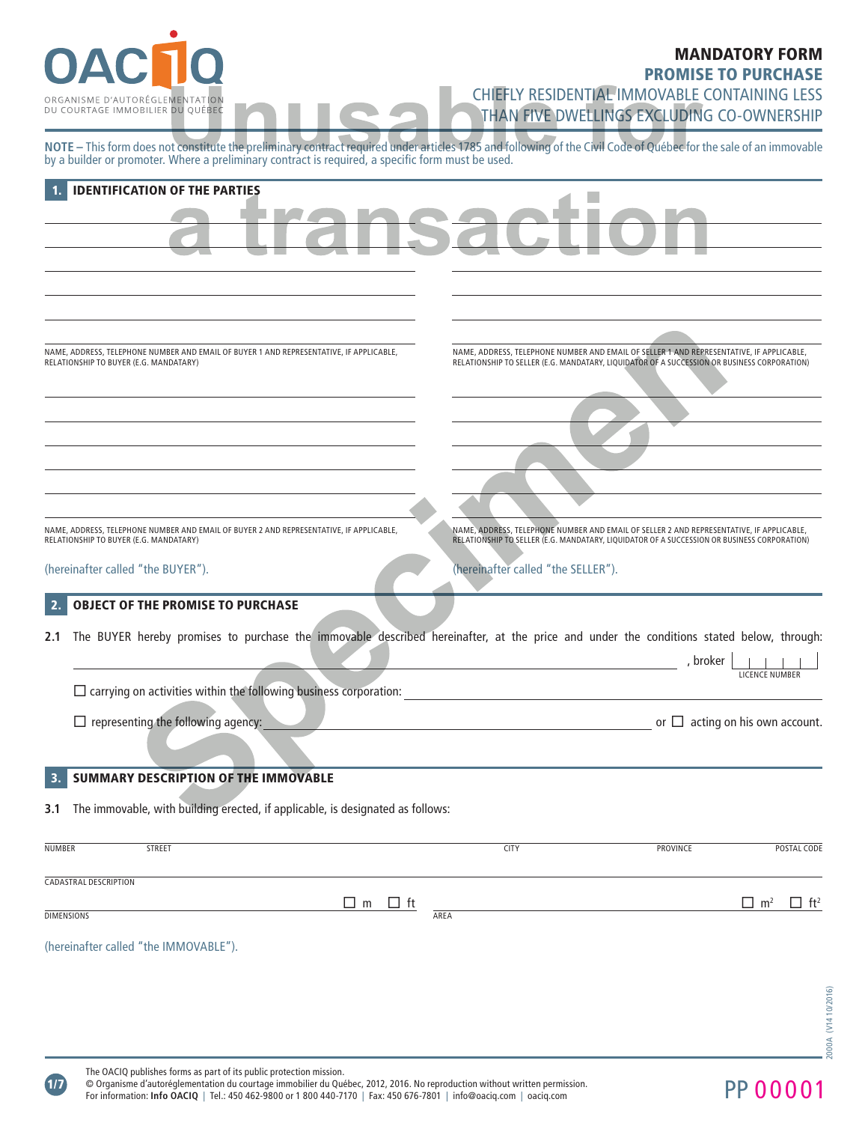

# MANDATORY FORM

PROMISE TO PURCHASE

CHIEFLY RESIDENTIAL IMMOVABLE CONTAINING LESS THAN FIVE DWELLINGS EXCLUDING CO-OWNERSHIP

**NOTE –** This form does not constitute the preliminary contract required under articles 1785 and following of the Civil Code of Québec for the sale of an immovable by a builder or promoter. Where a preliminary contract is required, a specific form must be used.

|                   | <b>IDENTIFICATION OF THE PARTIES</b>                                                    |                                                                                                                                         |  |  |  |  |
|-------------------|-----------------------------------------------------------------------------------------|-----------------------------------------------------------------------------------------------------------------------------------------|--|--|--|--|
|                   |                                                                                         |                                                                                                                                         |  |  |  |  |
|                   |                                                                                         |                                                                                                                                         |  |  |  |  |
|                   |                                                                                         |                                                                                                                                         |  |  |  |  |
|                   |                                                                                         |                                                                                                                                         |  |  |  |  |
|                   |                                                                                         |                                                                                                                                         |  |  |  |  |
|                   |                                                                                         |                                                                                                                                         |  |  |  |  |
|                   |                                                                                         |                                                                                                                                         |  |  |  |  |
|                   | NAME, ADDRESS, TELEPHONE NUMBER AND EMAIL OF BUYER 1 AND REPRESENTATIVE, IF APPLICABLE, | NAME, ADDRESS, TELEPHONE NUMBER AND EMAIL OF SELLER 1 AND REPRESENTATIVE, IF APPLICABLE,                                                |  |  |  |  |
|                   | RELATIONSHIP TO BUYER (E.G. MANDATARY)                                                  | RELATIONSHIP TO SELLER (E.G. MANDATARY, LIQUIDATOR OF A SUCCESSION OR BUSINESS CORPORATION)                                             |  |  |  |  |
|                   |                                                                                         |                                                                                                                                         |  |  |  |  |
|                   |                                                                                         |                                                                                                                                         |  |  |  |  |
|                   |                                                                                         |                                                                                                                                         |  |  |  |  |
|                   |                                                                                         |                                                                                                                                         |  |  |  |  |
|                   |                                                                                         |                                                                                                                                         |  |  |  |  |
|                   |                                                                                         |                                                                                                                                         |  |  |  |  |
|                   |                                                                                         |                                                                                                                                         |  |  |  |  |
|                   | NAME, ADDRESS, TELEPHONE NUMBER AND EMAIL OF BUYER 2 AND REPRESENTATIVE, IF APPLICABLE, | NAME, ADDRESS, TELEPHONE NUMBER AND EMAIL OF SELLER 2 AND REPRESENTATIVE, IF APPLICABLE,                                                |  |  |  |  |
|                   | RELATIONSHIP TO BUYER (E.G. MANDATARY)                                                  | RELATIONSHIP TO SELLER (E.G. MANDATARY, LIQUIDATOR OF A SUCCESSION OR BUSINESS CORPORATION)                                             |  |  |  |  |
|                   | (hereinafter called "the BUYER").                                                       | (hereinafter called "the SELLER").                                                                                                      |  |  |  |  |
|                   |                                                                                         |                                                                                                                                         |  |  |  |  |
|                   | <b>OBJECT OF THE PROMISE TO PURCHASE</b>                                                |                                                                                                                                         |  |  |  |  |
| 2.1               |                                                                                         | The BUYER hereby promises to purchase the immovable described hereinafter, at the price and under the conditions stated below, through: |  |  |  |  |
|                   |                                                                                         | , broker                                                                                                                                |  |  |  |  |
|                   |                                                                                         | the control of the control of the control of the control of<br>LICENCE NUMBER                                                           |  |  |  |  |
|                   | $\square$ carrying on activities within the following business corporation:             | the control of the control of the control of the control of                                                                             |  |  |  |  |
|                   | $\Box$ representing the following agency:                                               | or $\Box$ acting on his own account.                                                                                                    |  |  |  |  |
|                   |                                                                                         |                                                                                                                                         |  |  |  |  |
|                   |                                                                                         |                                                                                                                                         |  |  |  |  |
|                   | SUMMARY DESCRIPTION OF THE IMMOVABLE                                                    |                                                                                                                                         |  |  |  |  |
|                   | The immovable, with building erected, if applicable, is designated as follows:          |                                                                                                                                         |  |  |  |  |
|                   |                                                                                         |                                                                                                                                         |  |  |  |  |
| <b>NUMBER</b>     | <b>STREET</b>                                                                           | PROVINCE<br>POSTAL CODE<br><b>CITY</b>                                                                                                  |  |  |  |  |
|                   |                                                                                         |                                                                                                                                         |  |  |  |  |
|                   | <b>CADASTRAL DESCRIPTION</b>                                                            |                                                                                                                                         |  |  |  |  |
|                   | $\Box$ m<br>$\Box$ ft                                                                   | $\Box$ m <sup>2</sup><br>$\Box$ ft <sup>2</sup>                                                                                         |  |  |  |  |
| <b>DIMENSIONS</b> |                                                                                         | AREA                                                                                                                                    |  |  |  |  |
|                   | (hereinafter called "the IMMOVABLE").                                                   |                                                                                                                                         |  |  |  |  |
|                   |                                                                                         |                                                                                                                                         |  |  |  |  |

 $(1/7)$ 

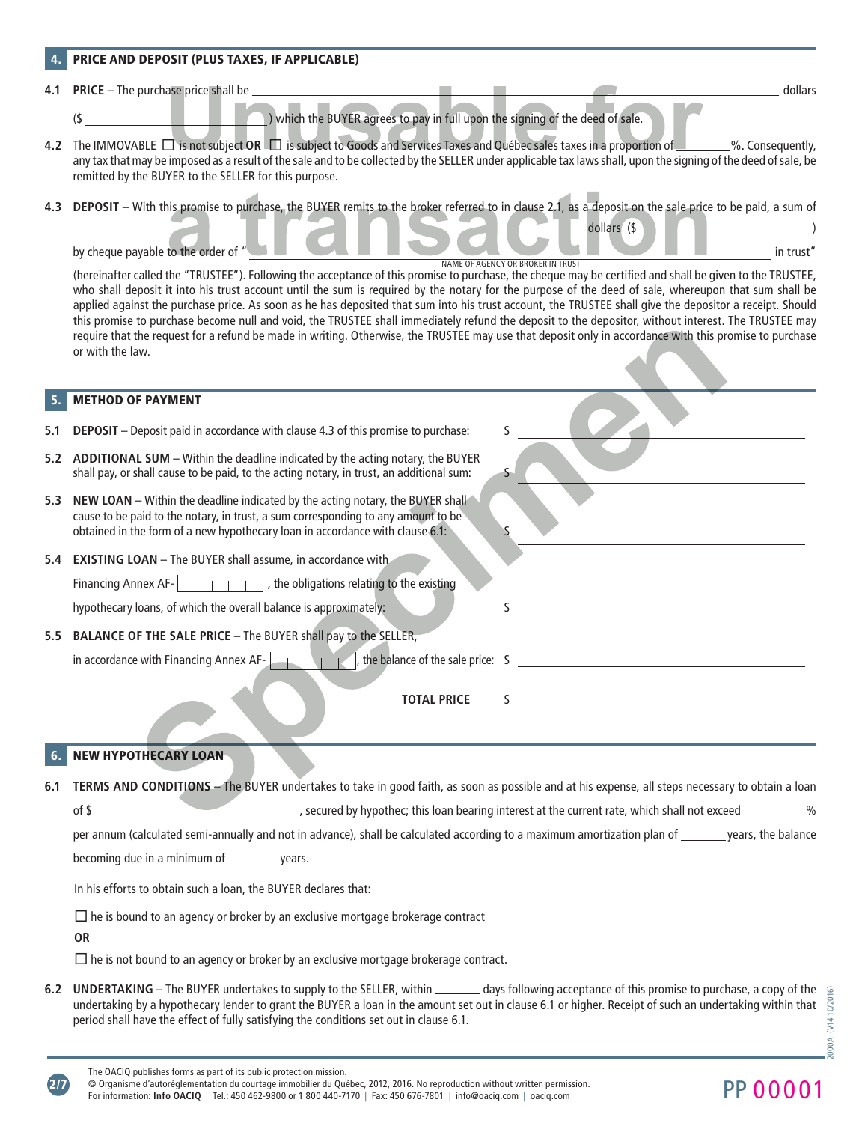## PRICE AND DEPOSIT (PLUS TAXES, IF APPLICABLE)

**4.1 PRICE** – The purchase price shall be dollars and the dollars of the dollars of the dollars dollars dollars and dollars dollars and dollars dollars and dollars dollars and dollars and dollars and dollars and dollars

(\$ ) which the BUYER agrees to pay in full upon the signing of the deed of sale.

**4.2** The IMMOVABLE  $\Box$  is not subject OR  $\Box$  is subject to Goods and Services Taxes and Québec sales taxes in a proportion of  $\Box$  %. Consequently, any tax that may be imposed as a result of the sale and to be collected by the SELLER under applicable tax laws shall, upon the signing of the deed of sale, be remitted by the BUYER to the SELLER for this purpose.

**4.3 DEPOSIT** – With this promise to purchase, the BUYER remits to the broker referred to in clause 2.1, as a deposit on the sale price to be paid, a sum of



(hereinafter called the "TRUSTEE"). Following the acceptance of this promise to purchase, the cheque may be certified and shall be given to the TRUSTEE, who shall deposit it into his trust account until the sum is required by the notary for the purpose of the deed of sale, whereupon that sum shall be applied against the purchase price. As soon as he has deposited that sum into his trust account, the TRUSTEE shall give the depositor a receipt. Should this promise to purchase become null and void, the TRUSTEE shall immediately refund the deposit to the depositor, without interest. The TRUSTEE may require that the request for a refund be made in writing. Otherwise, the TRUSTEE may use that deposit only in accordance with this promise to purchase or with the law.

## **METHOD OF PAYMENT**

- **5.1 DEPOSIT** Deposit paid in accordance with clause 4.3 of this promise to purchase: \$
- **5.2 ADDITIONAL SUM** Within the deadline indicated by the acting notary, the BUYER shall pay, or shall cause to be paid, to the acting notary, in trust, an additional sum:
- **5.3 NEW LOAN** Within the deadline indicated by the acting notary, the BUYER shall cause to be paid to the notary, in trust, a sum corresponding to any amount to be obtained in the form of a new hypothecary loan in accordance with clause 6.1:
- **5.4 EXISTING LOAN** The BUYER shall assume, in accordance with

Financing Annex AF- $\begin{array}{|c|c|c|c|c|c|} \hline \end{array}$  , the obligations relating to the existing

hypothecary loans, of which the overall balance is approximately: \$

**5.5 BALANCE OF THE SALE PRICE** – The BUYER shall pay to the SELLER,

in accordance with Financing Annex AF-  $\left| \begin{array}{ccc} \hline \end{array} \right|$ , the balance of the sale price:  $\int$ 

**TOTAL PRICE** 

# **NEW HYPOTHECARY LOAN**

**6.1 TERMS AND CONDITIONS** – The BUYER undertakes to take in good faith, as soon as possible and at his expense, all steps necessary to obtain a loan of \$ , secured by hypothec; this loan bearing interest at the current rate, which shall not exceed \_\_\_\_\_\_\_\_\_%

per annum (calculated semi-annually and not in advance), shall be calculated according to a maximum amortization plan of \_\_\_\_\_\_\_ years, the balance becoming due in a minimum of years.

In his efforts to obtain such a loan, the BUYER declares that:

 $\Box$  he is bound to an agency or broker by an exclusive mortgage brokerage contract

**OR**

2/7

 $\Box$  he is not bound to an agency or broker by an exclusive mortgage brokerage contract.

6.2 UNDERTAKING – The BUYER undertakes to supply to the SELLER, within **\_\_\_\_\_\_** days following acceptance of this promise to purchase, a copy of the undertaking by a hypothecary lender to grant the BUYER a loan in the amount set out in clause 6.1 or higher. Receipt of such an undertaking within that period shall have the effect of fully satisfying the conditions set out in clause 6.1.

© Organisme d'autoréglementation du courtage immobilier du Québec, 2012, 2016. No reproduction without written permission. © Organisme d'autoreglementation du courtage immobilier du Quebec, 2012, 2016. No reproduction without written permission.<br>For information: Info OACIQ | Tel.: 450 462-9800 or 1 800 440-7170 | Fax: 450 676-7801 | info@oaciq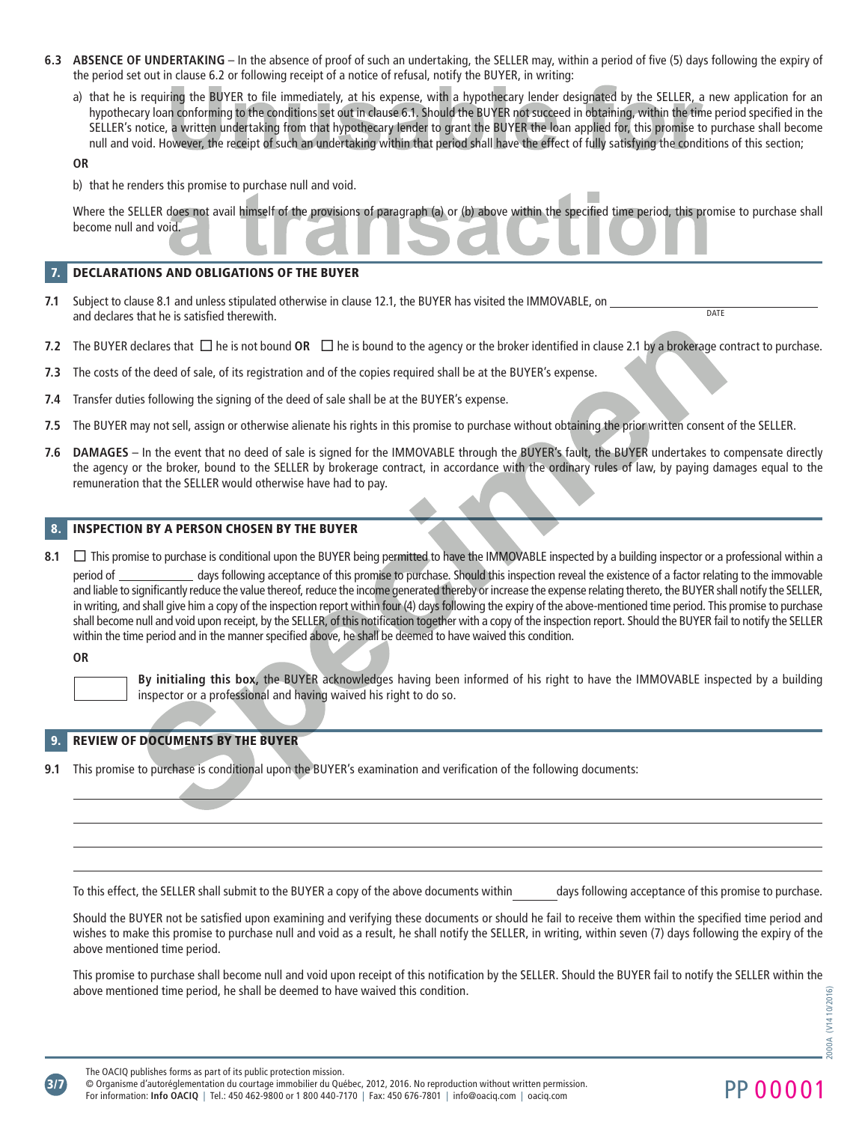- **6.3 ABSENCE OF UNDERTAKING** In the absence of proof of such an undertaking, the SELLER may, within a period of five (5) days following the expiry of the period set out in clause 6.2 or following receipt of a notice of refusal, notify the BUYER, in writing:
	- a) that he is requiring the BUYER to file immediately, at his expense, with a hypothecary lender designated by the SELLER, a new application for an hypothecary loan conforming to the conditions set out in clause 6.1. Should the BUYER not succeed in obtaining, within the time period specified in the SELLER's notice, a written undertaking from that hypothecary lender to grant the BUYER the loan applied for, this promise to purchase shall become null and void. However, the receipt of such an undertaking within that period shall have the effect of fully satisfying the conditions of this section;

## **OR**

b) that he renders this promise to purchase null and void.

Where the SELLER does not avail himself of the provisions of paragraph (a) or (b) above within the specified time period, this promise to purchase shall become null and void.

**Talling** 

#### 7. DECLARATIONS AND OBLIGATIONS OF THE BUYER

- **7.1** Subject to clause 8.1 and unless stipulated otherwise in clause 12.1, the BUYER has visited the IMMOVABLE, on and declares that he is satisfied therewith. **DATE**
- **7.2** The BUYER declares that  $\Box$  he is not bound **OR**  $\Box$  he is bound to the agency or the broker identified in clause 2.1 by a brokerage contract to purchase.
- **7.3** The costs of the deed of sale, of its registration and of the copies required shall be at the BUYER's expense.
- **7.4** Transfer duties following the signing of the deed of sale shall be at the BUYER's expense.
- **7.5** The BUYER may not sell, assign or otherwise alienate his rights in this promise to purchase without obtaining the prior written consent of the SELLER.
- **7.6 DAMAGES** In the event that no deed of sale is signed for the IMMOVABLE through the BUYER's fault, the BUYER undertakes to compensate directly the agency or the broker, bound to the SELLER by brokerage contract, in accordance with the ordinary rules of law, by paying damages equal to the remuneration that the SELLER would otherwise have had to pay.

#### **INSPECTION BY A PERSON CHOSEN BY THE BUYER**

**8.1**  $\Box$  This promise to purchase is conditional upon the BUYER being permitted to have the IMMOVABLE inspected by a building inspector or a professional within a period of days following acceptance of this promise to purchase. Should this inspection reveal the existence of a factor relating to the immovable and liable to significantly reduce the value thereof, reduce the income generated thereby or increase the expense relating thereto, the BUYER shall notify the SELLER, in writing, and shall give him a copy of the inspection report within four (4) days following the expiry of the above-mentioned time period. This promise to purchase shall become null and void upon receipt, by the SELLER, of this notification together with a copy of the inspection report. Should the BUYER fail to notify the SELLER within the time period and in the manner specified above, he shall be deemed to have waived this condition.

**OR**

**By initialing this box,** the BUYER acknowledges having been informed of his right to have the IMMOVABLE inspected by a building inspector or a professional and having waived his right to do so.

## REVIEW OF DOCUMENTS BY THE BUYER

**9.1** This promise to purchase is conditional upon the BUYER's examination and verification of the following documents:

To this effect, the SELLER shall submit to the BUYER a copy of the above documents within days following acceptance of this promise to purchase.

Should the BUYER not be satisfied upon examining and verifying these documents or should he fail to receive them within the specified time period and wishes to make this promise to purchase null and void as a result, he shall notify the SELLER, in writing, within seven (7) days following the expiry of the above mentioned time period.

This promise to purchase shall become null and void upon receipt of this notification by the SELLER. Should the BUYER fail to notify the SELLER within the above mentioned time period, he shall be deemed to have waived this condition.

The OACIQ publishes forms as part of its public protection mission.<br>© Organisme d'autoréglementation du courtage immobilier du Québec, 2012, 2016. No reproduction without written permission. © Organisme d'autoréglementation du courtage immobilier du Québec, 2012, 2016. No reproduction without written permission.<br>For information: Info OACIQ | Tel.: 450 462-9800 or 1 800 440-7170 | Fax: 450 676-7801 | info@oaci

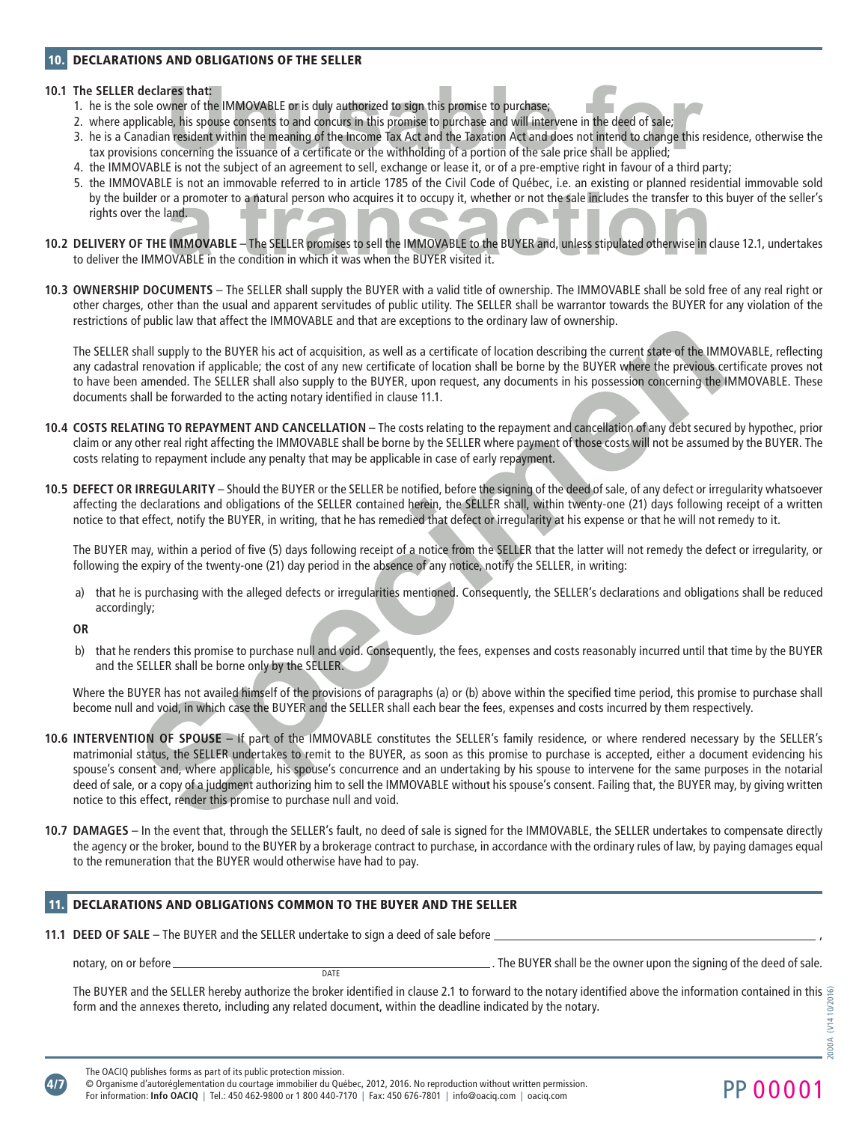#### 10. DECLARATIONS AND OBLIGATIONS OF THE SELLER

#### **10.1 The SELLER declares that:**

- 1. he is the sole owner of the IMMOVABLE or is duly authorized to sign this promise to purchase;
- 2. where applicable, his spouse consents to and concurs in this promise to purchase and will intervene in the deed of sale;
- 3. he is a Canadian resident within the meaning of the Income Tax Act and the Taxation Act and does not intend to change this residence, otherwise the tax provisions concerning the issuance of a certificate or the withholding of a portion of the sale price shall be applied;
- 4. the IMMOVABLE is not the subject of an agreement to sell, exchange or lease it, or of a pre-emptive right in favour of a third party;
- 5. the IMMOVABLE is not an immovable referred to in article 1785 of the Civil Code of Québec, i.e. an existing or planned residential immovable sold by the builder or a promoter to a natural person who acquires it to occupy it, whether or not the sale includes the transfer to this buyer of the seller's rights over the land.
- **10.2 DELIVERY OF THE IMMOVABLE** The SELLER promises to sell the IMMOVABLE to the BUYER and, unless stipulated otherwise in clause 12.1, undertakes to deliver the IMMOVABLE in the condition in which it was when the BUYER visited it.
- **10.3 OWNERSHIP DOCUMENTS** The SELLER shall supply the BUYER with a valid title of ownership. The IMMOVABLE shall be sold free of any real right or other charges, other than the usual and apparent servitudes of public utility. The SELLER shall be warrantor towards the BUYER for any violation of the restrictions of public law that affect the IMMOVABLE and that are exceptions to the ordinary law of ownership.

The SELLER shall supply to the BUYER his act of acquisition, as well as a certificate of location describing the current state of the IMMOVABLE, reflecting any cadastral renovation if applicable; the cost of any new certificate of location shall be borne by the BUYER where the previous certificate proves not to have been amended. The SELLER shall also supply to the BUYER, upon request, any documents in his possession concerning the IMMOVABLE. These documents shall be forwarded to the acting notary identified in clause 11.1.

- **10.4 COSTS RELATING TO REPAYMENT AND CANCELLATION** The costs relating to the repayment and cancellation of any debt secured by hypothec, prior claim or any other real right affecting the IMMOVABLE shall be borne by the SELLER where payment of those costs will not be assumed by the BUYER. The costs relating to repayment include any penalty that may be applicable in case of early repayment.
- **10.5 DEFECT OR IRREGULARITY** Should the BUYER or the SELLER be notified, before the signing of the deed of sale, of any defect or irregularity whatsoever affecting the declarations and obligations of the SELLER contained herein, the SELLER shall, within twenty-one (21) days following receipt of a written notice to that effect, notify the BUYER, in writing, that he has remedied that defect or irregularity at his expense or that he will not remedy to it.

The BUYER may, within a period of five (5) days following receipt of a notice from the SELLER that the latter will not remedy the defect or irregularity, or following the expiry of the twenty-one (21) day period in the absence of any notice, notify the SELLER, in writing:

a) that he is purchasing with the alleged defects or irregularities mentioned. Consequently, the SELLER's declarations and obligations shall be reduced accordingly;

#### **OR**

b) that he renders this promise to purchase null and void. Consequently, the fees, expenses and costs reasonably incurred until that time by the BUYER and the SELLER shall be borne only by the SELLER.

Where the BUYER has not availed himself of the provisions of paragraphs (a) or (b) above within the specified time period, this promise to purchase shall become null and void, in which case the BUYER and the SELLER shall each bear the fees, expenses and costs incurred by them respectively.

- **10.6 INTERVENTION OF SPOUSE** If part of the IMMOVABLE constitutes the SELLER's family residence, or where rendered necessary by the SELLER's matrimonial status, the SELLER undertakes to remit to the BUYER, as soon as this promise to purchase is accepted, either a document evidencing his spouse's consent and, where applicable, his spouse's concurrence and an undertaking by his spouse to intervene for the same purposes in the notarial deed of sale, or a copy of a judgment authorizing him to sell the IMMOVABLE without his spouse's consent. Failing that, the BUYER may, by giving written notice to this effect, render this promise to purchase null and void.
- **10.7 DAMAGES** In the event that, through the SELLER's fault, no deed of sale is signed for the IMMOVABLE, the SELLER undertakes to compensate directly the agency or the broker, bound to the BUYER by a brokerage contract to purchase, in accordance with the ordinary rules of law, by paying damages equal to the remuneration that the BUYER would otherwise have had to pay.

## 11. DECLARATIONS AND OBLIGATIONS COMMON TO THE BUYER AND THE SELLER

**11.1 DEED OF SALE** – The BUYER and the SELLER undertake to sign a deed of sale before  $\equiv$ 

notary, on or before . The BUYER shall be the owner upon the signing of the deed of sale.

The BUYER and the SELLER hereby authorize the broker identified in clause 2.1 to forward to the notary identified above the information contained in this 2000A (V14 10/2016)form and the annexes thereto, including any related document, within the deadline indicated by the notary.  $($ V14



DATE

1000A

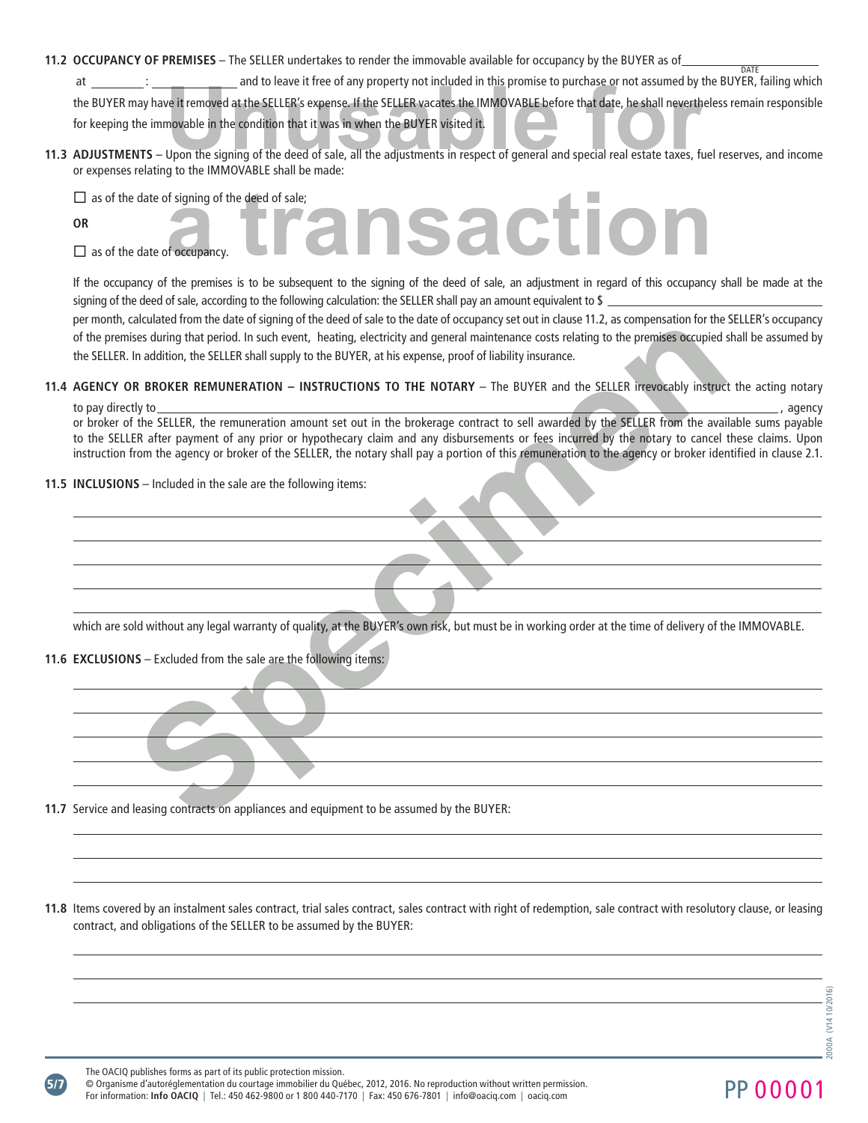**11.2 OCCUPANCY OF PREMISES** – The SELLER undertakes to render the immovable available for occupancy by the BUYER as of

at : and to leave it free of any property not included in this promise to purchase or not assumed by the BUYER, failing which the BUYER may have it removed at the SELLER's expense. If the SELLER vacates the IMMOVABLE before that date, he shall nevertheless remain responsible for keeping the immovable in the condition that it was in when the BUYER visited it.

**11.3 ADJUSTMENTS** – Upon the signing of the deed of sale, all the adjustments in respect of general and special real estate taxes, fuel reserves, and income or expenses relating to the IMMOVABLE shall be made:

D as of the date of signing of the deed of sale;<br>OR<br>Description to the signing of the deed of sale;<br> $\bullet$ 

**OR**

 $\Box$  as of the date of occupancy.

If the occupancy of the premises is to be subsequent to the signing of the deed of sale, an adjustment in regard of this occupancy shall be made at the signing of the deed of sale, according to the following calculation: the SELLER shall pay an amount equivalent to \$ per month, calculated from the date of signing of the deed of sale to the date of occupancy set out in clause 11.2, as compensation for the SELLER's occupancy of the premises during that period. In such event, heating, electricity and general maintenance costs relating to the premises occupied shall be assumed by the SELLER. In addition, the SELLER shall supply to the BUYER, at his expense, proof of liability insurance.

**11.4 AGENCY OR BROKER REMUNERATION – INSTRUCTIONS TO THE NOTARY** – The BUYER and the SELLER irrevocably instruct the acting notary to pay directly to , agency

or broker of the SELLER, the remuneration amount set out in the brokerage contract to sell awarded by the SELLER from the available sums payable to the SELLER after payment of any prior or hypothecary claim and any disbursements or fees incurred by the notary to cancel these claims. Upon instruction from the agency or broker of the SELLER, the notary shall pay a portion of this remuneration to the agency or broker identified in clause 2.1.

**11.5 INCLUSIONS** – Included in the sale are the following items:

which are sold without any legal warranty of quality, at the BUYER's own risk, but must be in working order at the time of delivery of the IMMOVABLE.

**11.6 EXCLUSIONS** – Excluded from the sale are the following items:

**11.7** Service and leasing contracts on appliances and equipment to be assumed by the BUYER:

**11.8** Items covered by an instalment sales contract, trial sales contract, sales contract with right of redemption, sale contract with resolutory clause, or leasing contract, and obligations of the SELLER to be assumed by the BUYER:

**DATE** 

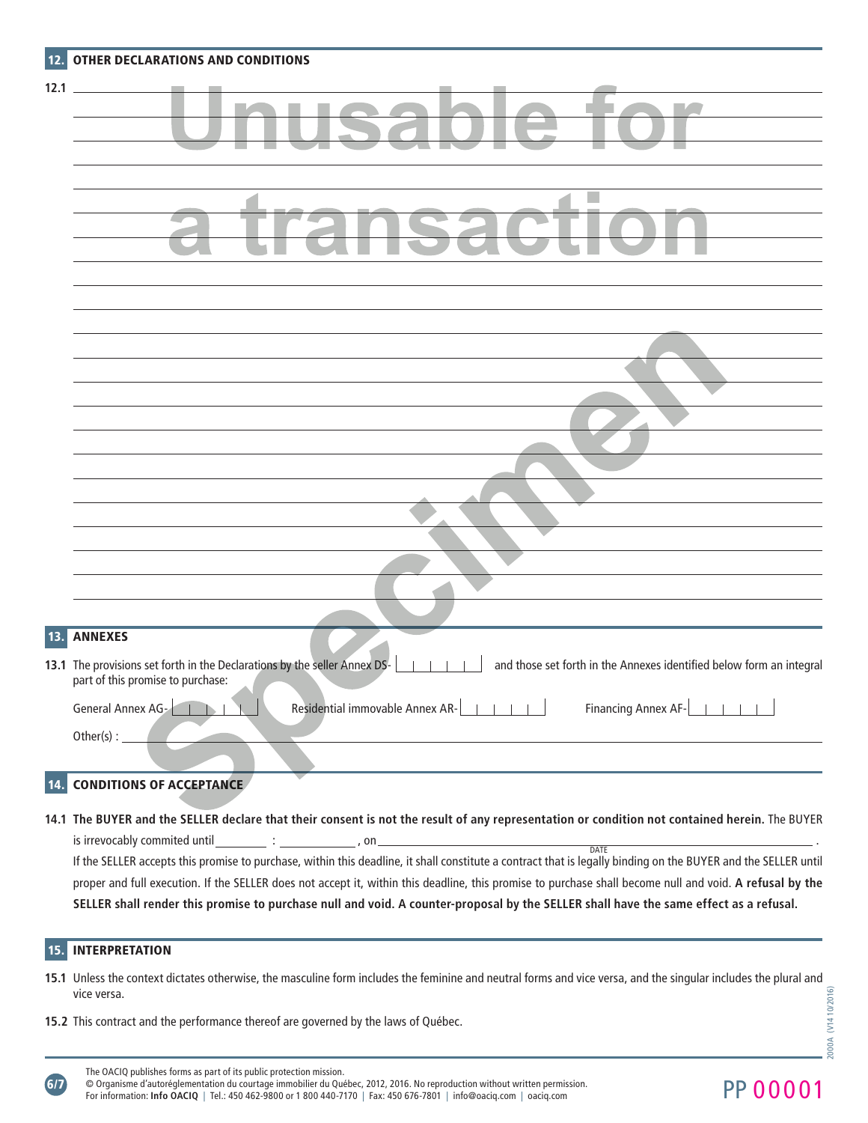| 12.  | OTHER DECLARATIONS AND CONDITIONS                                                                                                                                                      |
|------|----------------------------------------------------------------------------------------------------------------------------------------------------------------------------------------|
| 12.1 |                                                                                                                                                                                        |
|      | k.                                                                                                                                                                                     |
|      |                                                                                                                                                                                        |
|      |                                                                                                                                                                                        |
|      |                                                                                                                                                                                        |
|      |                                                                                                                                                                                        |
|      |                                                                                                                                                                                        |
| 13.  | <b>ANNEXES</b>                                                                                                                                                                         |
|      | 13.1 The provisions set forth in the Declarations by the seller Annex DS-<br>and those set forth in the Annexes identified below form an integral<br>part of this promise to purchase: |
|      | Financing Annex AF- <b>Hand</b><br>General Annex AG-<br>Residential immovable Annex AR-<br>$-1$ $-1$ $-1$ $-1$<br>Other(s) : $_{-}$                                                    |
|      |                                                                                                                                                                                        |

# 14. CONDITIONS OF ACCEPTANCE

**14.1 The BUYER and the SELLER declare that their consent is not the result of any representation or condition not contained herein.** The BUYER is irrevocably commited until :  $\qquad \qquad ; \qquad \qquad , \text{ on } \Box$ DATE

If the SELLER accepts this promise to purchase, within this deadline, it shall constitute a contract that is legally binding on the BUYER and the SELLER until proper and full execution. If the SELLER does not accept it, within this deadline, this promise to purchase shall become null and void. **A refusal by the SELLER shall render this promise to purchase null and void. A counter-proposal by the SELLER shall have the same effect as a refusal.**

## 15. INTERPRETATION

6/7

- **15.1** Unless the context dictates otherwise, the masculine form includes the feminine and neutral forms and vice versa, and the singular includes the plural and vice versa.
- **15.2** This contract and the performance thereof are governed by the laws of Québec.